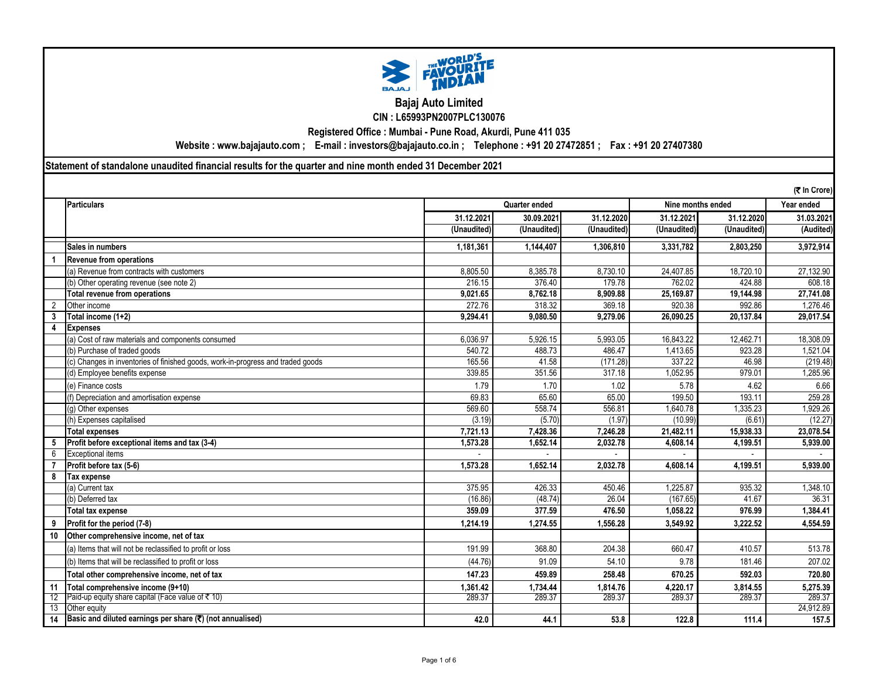

## **Bajaj Auto Limited CIN : L65993PN2007PLC130076**

**Registered Office : Mumbai - Pune Road, Akurdi, Pune 411 035**

**Website : www.bajajauto.com ; E-mail : investors@bajajauto.co.in ; Telephone : +91 20 27472851 ; Fax : +91 20 27407380**

**Statement of standalone unaudited financial results for the quarter and nine month ended 31 December 2021**

|                | (र In Crore)                                                                    |               |             |             |                   |             |            |  |
|----------------|---------------------------------------------------------------------------------|---------------|-------------|-------------|-------------------|-------------|------------|--|
|                | Particulars                                                                     | Quarter ended |             |             | Nine months ended | Year ended  |            |  |
|                |                                                                                 | 31.12.2021    | 30.09.2021  | 31.12.2020  | 31.12.2021        | 31.12.2020  | 31.03.2021 |  |
|                |                                                                                 | (Unaudited)   | (Unaudited) | (Unaudited) | (Unaudited)       | (Unaudited) | (Audited)  |  |
|                | <b>Sales in numbers</b>                                                         | 1,181,361     | 1,144,407   | 1.306.810   | 3,331,782         | 2,803,250   | 3,972,914  |  |
|                | <b>Revenue from operations</b>                                                  |               |             |             |                   |             |            |  |
|                | (a) Revenue from contracts with customers                                       | 8,805.50      | 8,385.78    | 8,730.10    | 24,407.85         | 18,720.10   | 27,132.90  |  |
|                | (b) Other operating revenue (see note 2)                                        | 216.15        | 376.40      | 179.78      | 762.02            | 424.88      | 608.18     |  |
|                | <b>Total revenue from operations</b>                                            | 9.021.65      | 8.762.18    | 8.909.88    | 25.169.87         | 19.144.98   | 27.741.08  |  |
| $\overline{2}$ | Other income                                                                    | 272.76        | 318.32      | 369.18      | 920.38            | 992.86      | 1.276.46   |  |
| 3              | Total income (1+2)                                                              | 9,294.41      | 9,080.50    | 9,279.06    | 26,090.25         | 20,137.84   | 29,017.54  |  |
| 4              | <b>Expenses</b>                                                                 |               |             |             |                   |             |            |  |
|                | (a) Cost of raw materials and components consumed                               | 6,036.97      | 5,926.15    | 5,993.05    | 16,843.22         | 12,462.71   | 18,308.09  |  |
|                | (b) Purchase of traded goods                                                    | 540.72        | 488.73      | 486.47      | 1,413.65          | 923.28      | 1,521.04   |  |
|                | (c) Changes in inventories of finished goods, work-in-progress and traded goods | 165.56        | 41.58       | (171.28)    | 337.22            | 46.98       | (219.48)   |  |
|                | (d) Employee benefits expense                                                   | 339.85        | 351.56      | 317.18      | 1,052.95          | 979.01      | 1,285.96   |  |
|                | (e) Finance costs                                                               | 1.79          | 1.70        | 1.02        | 5.78              | 4.62        | 6.66       |  |
|                | (f) Depreciation and amortisation expense                                       | 69.83         | 65.60       | 65.00       | 199.50            | 193.11      | 259.28     |  |
|                | (g) Other expenses                                                              | 569.60        | 558.74      | 556.81      | 1.640.78          | 1.335.23    | 1,929.26   |  |
|                | (h) Expenses capitalised                                                        | (3.19)        | (5.70)      | (1.97)      | (10.99)           | (6.61)      | (12.27)    |  |
|                | <b>Total expenses</b>                                                           | 7.721.13      | 7,428.36    | 7.246.28    | 21,482.11         | 15,938.33   | 23.078.54  |  |
| 5              | Profit before exceptional items and tax (3-4)                                   | 1,573.28      | 1,652.14    | 2,032.78    | 4,608.14          | 4,199.51    | 5,939.00   |  |
| 6              | <b>Exceptional items</b>                                                        |               |             |             |                   |             |            |  |
|                | Profit before tax (5-6)                                                         | 1.573.28      | 1,652.14    | 2.032.78    | 4.608.14          | 4,199.51    | 5,939.00   |  |
| 8              | Tax expense                                                                     |               |             |             |                   |             |            |  |
|                | (a) Current tax                                                                 | 375.95        | 426.33      | 450.46      | 1.225.87          | 935.32      | 1,348.10   |  |
|                | (b) Deferred tax                                                                | (16.86)       | (48.74)     | 26.04       | (167.65)          | 41.67       | 36.31      |  |
|                | Total tax expense                                                               | 359.09        | 377.59      | 476.50      | 1,058.22          | 976.99      | 1,384.41   |  |
|                | Profit for the period (7-8)                                                     | 1,214.19      | 1,274.55    | 1,556.28    | 3,549.92          | 3,222.52    | 4,554.59   |  |
| 10             | Other comprehensive income, net of tax                                          |               |             |             |                   |             |            |  |
|                | (a) Items that will not be reclassified to profit or loss                       | 191.99        | 368.80      | 204.38      | 660.47            | 410.57      | 513.78     |  |
|                | (b) Items that will be reclassified to profit or loss                           | (44.76)       | 91.09       | 54.10       | 9.78              | 181.46      | 207.02     |  |
|                | Total other comprehensive income, net of tax                                    | 147.23        | 459.89      | 258.48      | 670.25            | 592.03      | 720.80     |  |
| 11             | Total comprehensive income (9+10)                                               | 1,361.42      | 1,734.44    | 1,814.76    | 4,220.17          | 3,814.55    | 5,275.39   |  |
| 12             | Paid-up equity share capital (Face value of ₹ 10)                               | 289.37        | 289.37      | 289.37      | 289.37            | 289.37      | 289.37     |  |
| 13             | Other equity                                                                    |               |             |             |                   |             | 24.912.89  |  |
| 14             | Basic and diluted earnings per share (₹) (not annualised)                       | 42.0          | 44.1        | 53.8        | 122.8             | 111.4       | 157.5      |  |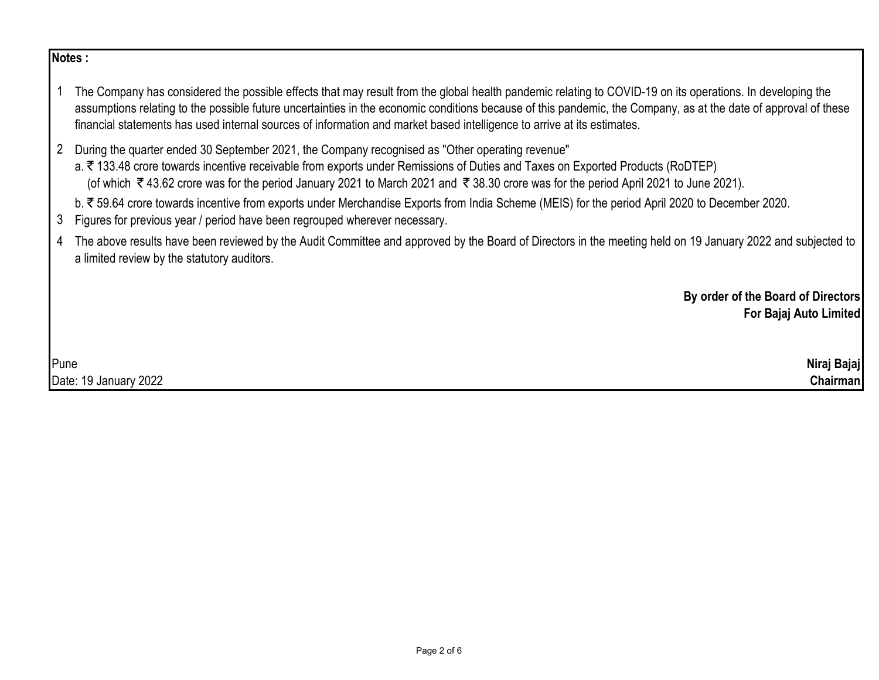# **Notes :**

- 1 The Company has considered the possible effects that may result from the global health pandemic relating to COVID-19 on its operations. In developing the assumptions relating to the possible future uncertainties in the economic conditions because of this pandemic, the Company, as at the date of approval of these financial statements has used internal sources of information and market based intelligence to arrive at its estimates.
- 2 During the quarter ended 30 September 2021, the Company recognised as "Other operating revenue"

a. ₹133.48 crore towards incentive receivable from exports under Remissions of Duties and Taxes on Exported Products (RoDTEP) (of which  $\bar{\tau}$  43.62 crore was for the period January 2021 to March 2021 and  $\bar{\tau}$  38.30 crore was for the period April 2021 to June 2021).

- b. ₹59.64 crore towards incentive from exports under Merchandise Exports from India Scheme (MEIS) for the period April 2020 to December 2020.
- 3 Figures for previous year / period have been regrouped wherever necessary.
- 4 The above results have been reviewed by the Audit Committee and approved by the Board of Directors in the meeting held on 19 January 2022 and subjected to a limited review by the statutory auditors.

**By order of the Board of Directors For Bajaj Auto Limited**

Pune **Niraj Bajaj** Date: 19 January 2022 **Chairman**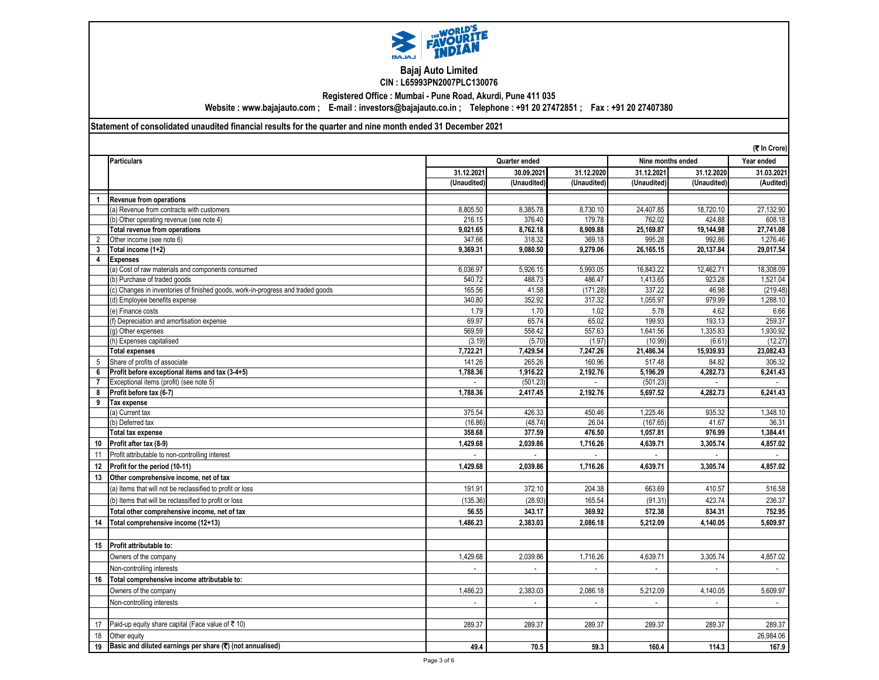

#### **Bajaj Auto Limited CIN : L65993PN2007PLC130076**

**Registered Office : Mumbai - Pune Road, Akurdi, Pune 411 035**

**Website : www.bajajauto.com ; E-mail : investors@bajajauto.co.in ; Telephone : +91 20 27472851 ; Fax : +91 20 27407380**

### **Statement of consolidated unaudited financial results for the quarter and nine month ended 31 December 2021**

|                | (₹ In Crore)                                                                    |                             |                             |             |              |                   |            |  |
|----------------|---------------------------------------------------------------------------------|-----------------------------|-----------------------------|-------------|--------------|-------------------|------------|--|
|                | <b>Particulars</b>                                                              | Quarter ended               |                             |             |              | Nine months ended |            |  |
|                |                                                                                 | 31.12.2021                  | 30.09.2021                  | 31.12.2020  | 31.12.2021   | 31.12.2020        | 31.03.2021 |  |
|                |                                                                                 | (Unaudited)                 | (Unaudited)                 | (Unaudited) | (Unaudited)  | (Unaudited)       | (Audited)  |  |
| $\mathbf{1}$   | <b>Revenue from operations</b>                                                  |                             |                             |             |              |                   |            |  |
|                | (a) Revenue from contracts with customers                                       | 8,805.50                    | 8,385.78                    | 8,730.10    | 24,407.85    | 18,720.10         | 27,132.90  |  |
|                | (b) Other operating revenue (see note 4)                                        | 216.15                      | 376.40                      | 179.78      | 762.02       | 424.88            | 608.18     |  |
|                | Total revenue from operations                                                   | 9,021.65                    | 8,762.18                    | 8,909.88    | 25,169.87    | 19,144.98         | 27,741.08  |  |
| $\overline{2}$ | Other income (see note 6)                                                       | 347.66                      | 318.32                      | 369.18      | 995.28       | 992.86            | 1,276.46   |  |
| 3              | Total income (1+2)                                                              | 9,369.31                    | 9,080.50                    | 9,279.06    | 26,165.15    | 20,137.84         | 29,017.54  |  |
| 4              | <b>Expenses</b>                                                                 |                             |                             |             |              |                   |            |  |
|                | (a) Cost of raw materials and components consumed                               | 6,036.97                    | 5,926.15                    | 5,993.05    | 16,843.22    | 12,462.71         | 18,308.09  |  |
|                | (b) Purchase of traded goods                                                    | 540.72                      | 488.73                      | 486.47      | 1,413.65     | 923.28            | 1,521.04   |  |
|                | (c) Changes in inventories of finished goods, work-in-progress and traded goods | 165.56                      | 41.58                       | (171.28)    | 337.22       | 46.98             | (219.48)   |  |
|                | (d) Employee benefits expense                                                   | 340.80                      | 352.92                      | 317.32      | 1,055.97     | 979.99            | 1,288.10   |  |
|                | (e) Finance costs                                                               | 1.79                        | 1.70                        | 1.02        | 5.78         | 4.62              | 6.66       |  |
|                | (f) Depreciation and amortisation expense                                       | 69.97                       | 65.74                       | 65.02       | 199.93       | 193.13            | 259.37     |  |
|                | (g) Other expenses                                                              | 569.59                      | 558.42                      | 557.63      | 1,641.56     | 1,335.83          | 1,930.92   |  |
|                | (h) Expenses capitalised                                                        | (3.19)                      | (5.70)                      | (1.97)      | (10.99)      | (6.61)            | (12.27)    |  |
|                | <b>Total expenses</b>                                                           | 7,722.21                    | 7,429.54                    | 7,247.26    | 21,486.34    | 15,939.93         | 23,082.43  |  |
| 5              | Share of profits of associate                                                   | 141.26                      | 265.26                      | 160.96      | 517.48       | 84.82             | 306.32     |  |
| 6              | Profit before exceptional items and tax (3-4+5)                                 | 1,788.36                    | 1,916.22                    | 2,192.76    | 5.196.29     | 4,282.73          | 6,241.43   |  |
| $\overline{7}$ | Exceptional items (profit) (see note 5)                                         |                             | (501.23)                    |             | (501.23)     |                   |            |  |
| 8              | Profit before tax (6-7)                                                         | 1,788.36                    | 2,417.45                    | 2,192.76    | 5,697.52     | 4,282.73          | 6,241.43   |  |
| 9              | Tax expense                                                                     |                             |                             |             |              |                   |            |  |
|                | (a) Current tax                                                                 | 375.54                      | 426.33                      | 450.46      | 1,225.46     | 935.32            | 1,348.10   |  |
|                | (b) Deferred tax                                                                | (16.86)                     | (48.74)                     | 26.04       | (167.65)     | 41.67             | 36.31      |  |
|                | <b>Total tax expense</b>                                                        | 358.68                      | 377.59                      | 476.50      | 1,057.81     | 976.99            | 1,384.41   |  |
| 10             | Profit after tax (8-9)                                                          | 1.429.68                    | 2,039.86                    | 1,716.26    | 4,639.71     | 3,305.74          | 4,857.02   |  |
| 11             | Profit attributable to non-controlling interest                                 |                             |                             |             |              |                   |            |  |
| 12             | Profit for the period (10-11)                                                   | 1,429.68                    | 2,039.86                    | 1,716.26    | 4,639.71     | 3,305.74          | 4,857.02   |  |
| 13             | Other comprehensive income, net of tax                                          |                             |                             |             |              |                   |            |  |
|                | (a) Items that will not be reclassified to profit or loss                       | 191.91                      | 372.10                      | 204.38      | 663.69       | 410.57            | 516.58     |  |
|                | (b) Items that will be reclassified to profit or loss                           | (135.36)                    | (28.93)                     | 165.54      | (91.31)      | 423.74            | 236.37     |  |
|                | Total other comprehensive income, net of tax                                    | 56.55                       | 343.17                      | 369.92      | 572.38       | 834.31            | 752.95     |  |
| 14             | Total comprehensive income (12+13)                                              | 1,486.23                    | 2.383.03                    | 2.086.18    | 5,212.09     | 4,140.05          | 5,609.97   |  |
|                |                                                                                 |                             |                             |             |              |                   |            |  |
| 15             | Profit attributable to:                                                         |                             |                             |             |              |                   |            |  |
|                | Owners of the company                                                           | 1,429.68                    | 2,039.86                    | 1,716.26    | 4,639.71     | 3,305.74          | 4,857.02   |  |
|                | Non-controlling interests                                                       |                             |                             |             |              |                   |            |  |
| 16             | Total comprehensive income attributable to:                                     |                             |                             |             |              |                   |            |  |
|                | Owners of the company                                                           | 1,486.23                    | 2,383.03                    | 2,086.18    | 5,212.09     | 4,140.05          | 5,609.97   |  |
|                |                                                                                 |                             |                             |             |              | L.                |            |  |
|                | Non-controlling interests                                                       | $\mathcal{L}_{\mathcal{A}}$ | $\mathcal{L}_{\mathcal{A}}$ | $\sim$      | $\mathbf{r}$ |                   | $\sim$     |  |
|                |                                                                                 |                             |                             |             |              |                   |            |  |
| 17             | Paid-up equity share capital (Face value of ₹10)                                | 289.37                      | 289.37                      | 289.37      | 289.37       | 289.37            | 289.37     |  |
| 18             | Other equity                                                                    |                             |                             |             |              |                   | 26,984.06  |  |
| 19             | Basic and diluted earnings per share (₹) (not annualised)                       | 49.4                        | 70.5                        | 59.3        | 160.4        | 114.3             | 167.9      |  |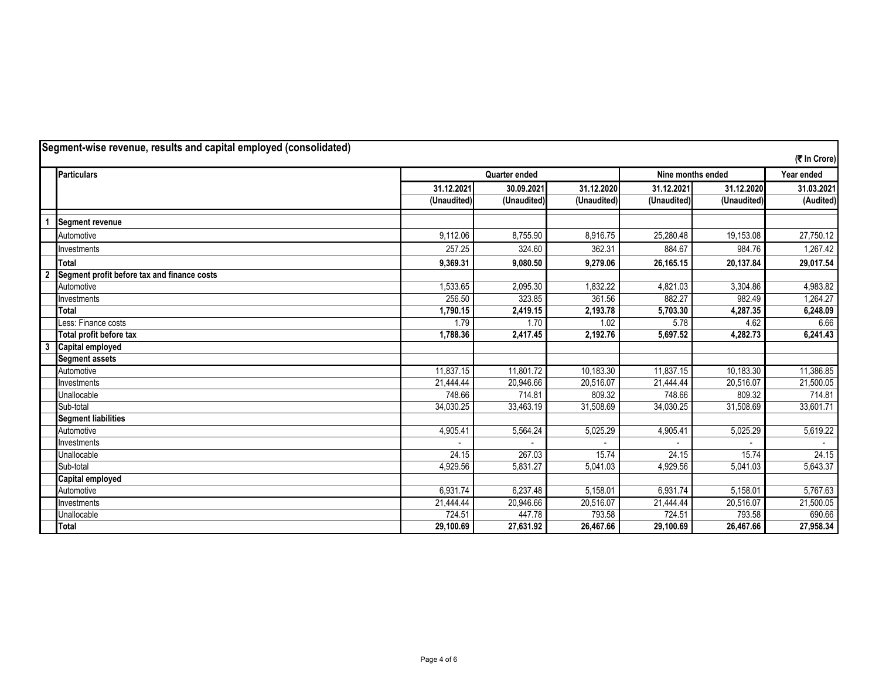| Segment-wise revenue, results and capital employed (consolidated) |                                             |             |               |             |                   |             |              |
|-------------------------------------------------------------------|---------------------------------------------|-------------|---------------|-------------|-------------------|-------------|--------------|
|                                                                   |                                             |             |               |             |                   |             | (そ In Crore) |
|                                                                   | <b>Particulars</b>                          |             | Quarter ended |             | Nine months ended |             | Year ended   |
|                                                                   |                                             | 31.12.2021  | 30.09.2021    | 31.12.2020  | 31.12.2021        | 31.12.2020  | 31.03.2021   |
|                                                                   |                                             | (Unaudited) | (Unaudited)   | (Unaudited) | (Unaudited)       | (Unaudited) | (Audited)    |
|                                                                   | <b>Segment revenue</b>                      |             |               |             |                   |             |              |
|                                                                   | Automotive                                  | 9,112.06    | 8,755.90      | 8,916.75    | 25,280.48         | 19,153.08   | 27,750.12    |
|                                                                   | Investments                                 | 257.25      | 324.60        | 362.31      | 884.67            | 984.76      | 1,267.42     |
|                                                                   | <b>Total</b>                                | 9,369.31    | 9,080.50      | 9,279.06    | 26,165.15         | 20,137.84   | 29,017.54    |
| $\overline{2}$                                                    | Segment profit before tax and finance costs |             |               |             |                   |             |              |
|                                                                   | Automotive                                  | 1.533.65    | 2,095.30      | 1.832.22    | 4,821.03          | 3,304.86    | 4,983.82     |
|                                                                   | Investments                                 | 256.50      | 323.85        | 361.56      | 882.27            | 982.49      | 1,264.27     |
|                                                                   | <b>Total</b>                                | 1,790.15    | 2,419.15      | 2,193.78    | 5,703.30          | 4,287.35    | 6,248.09     |
|                                                                   | Less: Finance costs                         | 1.79        | 1.70          | 1.02        | 5.78              | 4.62        | 6.66         |
|                                                                   | Total profit before tax                     | 1,788.36    | 2,417.45      | 2,192.76    | 5,697.52          | 4,282.73    | 6,241.43     |
| 3                                                                 | <b>Capital employed</b>                     |             |               |             |                   |             |              |
|                                                                   | <b>Segment assets</b>                       |             |               |             |                   |             |              |
|                                                                   | Automotive                                  | 11,837.15   | 11.801.72     | 10,183.30   | 11,837.15         | 10,183.30   | 11,386.85    |
|                                                                   | Investments                                 | 21,444.44   | 20,946.66     | 20,516.07   | 21,444.44         | 20,516.07   | 21,500.05    |
|                                                                   | Unallocable                                 | 748.66      | 714.81        | 809.32      | 748.66            | 809.32      | 714.81       |
|                                                                   | Sub-total                                   | 34,030.25   | 33,463.19     | 31,508.69   | 34,030.25         | 31,508.69   | 33,601.71    |
|                                                                   | <b>Segment liabilities</b>                  |             |               |             |                   |             |              |
|                                                                   | Automotive                                  | 4,905.41    | 5,564.24      | 5,025.29    | 4,905.41          | 5,025.29    | 5,619.22     |
|                                                                   | Investments                                 |             |               |             |                   |             |              |
|                                                                   | Unallocable                                 | 24.15       | 267.03        | 15.74       | 24.15             | 15.74       | 24.15        |
|                                                                   | Sub-total                                   | 4,929.56    | 5,831.27      | 5,041.03    | 4,929.56          | 5,041.03    | 5,643.37     |
|                                                                   | Capital employed                            |             |               |             |                   |             |              |
|                                                                   | Automotive                                  | 6,931.74    | 6,237.48      | 5,158.01    | 6,931.74          | 5,158.01    | 5,767.63     |
|                                                                   | Investments                                 | 21,444.44   | 20,946.66     | 20,516.07   | 21,444.44         | 20,516.07   | 21,500.05    |
|                                                                   | Unallocable                                 | 724.51      | 447.78        | 793.58      | 724.51            | 793.58      | 690.66       |
|                                                                   | <b>Total</b>                                | 29,100.69   | 27,631.92     | 26,467.66   | 29,100.69         | 26,467.66   | 27,958.34    |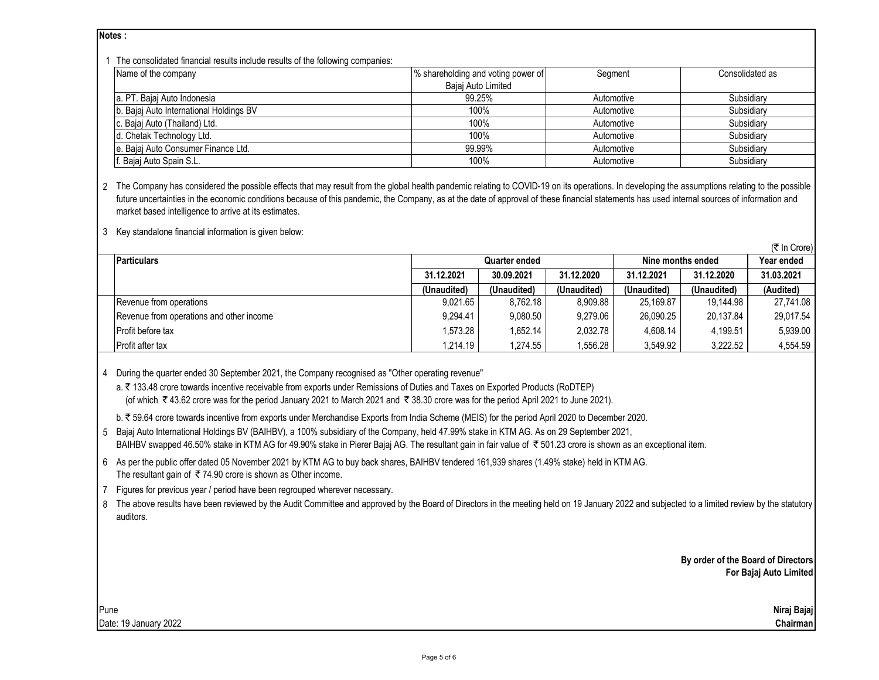**Notes :**

#### 1 The consolidated financial results include results of the following companies:

| The concentration initial results include results of the following comparings. |                                    |            |                 |  |  |  |
|--------------------------------------------------------------------------------|------------------------------------|------------|-----------------|--|--|--|
| Name of the company                                                            | % shareholding and voting power of | Segment    | Consolidated as |  |  |  |
|                                                                                | Bajaj Auto Limited                 |            |                 |  |  |  |
| a. PT. Bajaj Auto Indonesia                                                    | 99.25%                             | Automotive | Subsidiary      |  |  |  |
| b. Bajaj Auto International Holdings BV                                        | 100%                               | Automotive | Subsidiary      |  |  |  |
| c. Bajaj Auto (Thailand) Ltd.                                                  | 100%                               | Automotive | Subsidiary      |  |  |  |
| d. Chetak Technology Ltd.                                                      | 100%                               | Automotive | Subsidiary      |  |  |  |
| e. Bajaj Auto Consumer Finance Ltd.                                            | 99.99%                             | Automotive | Subsidiary      |  |  |  |
| f. Bajaj Auto Spain S.L.                                                       | 100%                               | Automotive | Subsidiary      |  |  |  |

2 The Company has considered the possible effects that may result from the global health pandemic relating to COVID-19 on its operations. In developing the assumptions relating to the possible future uncertainties in the economic conditions because of this pandemic, the Company, as at the date of approval of these financial statements has used internal sources of information and market based intelligence to arrive at its estimates.

3 Key standalone financial information is given below:

| (5100)                                   |               |             |             |                   |             |            |
|------------------------------------------|---------------|-------------|-------------|-------------------|-------------|------------|
| <b>Particulars</b>                       | Quarter ended |             |             | Nine months ended | Year ended  |            |
|                                          | 31.12.2021    | 30.09.2021  | 31.12.2020  | 31.12.2021        | 31.12.2020  | 31.03.2021 |
|                                          | (Unaudited)   | (Unaudited) | (Unaudited) | (Unaudited)       | (Unaudited) | (Audited)  |
| Revenue from operations                  | 9.021.65      | 8.762.18    | 8.909.88    | 25.169.87         | 19.144.98   | 27.741.08  |
| Revenue from operations and other income | 9.294.41      | 9.080.50    | 9.279.06    | 26.090.25         | 20.137.84   | 29.017.54  |
| <b>Profit before tax</b>                 | 1.573.28      | 1.652.14    | 2.032.78    | 4.608.14          | 4.199.51    | 5,939.00   |
| <b>Profit after tax</b>                  | 1,214.19      | 1.274.55    | ,556.28     | 3,549.92          | 3,222.52    | 4.554.59   |

4 During the quarter ended 30 September 2021, the Company recognised as "Other operating revenue"

a. ₹ 133.48 crore towards incentive receivable from exports under Remissions of Duties and Taxes on Exported Products (RoDTEP) (of which  $\overline{\epsilon}$  43.62 crore was for the period January 2021 to March 2021 and  $\overline{\epsilon}$  38.30 crore was for the period April 2021 to June 2021).

b. ` 59.64 crore towards incentive from exports under Merchandise Exports from India Scheme (MEIS) for the period April 2020 to December 2020.

5 Bajaj Auto International Holdings BV (BAIHBV), a 100% subsidiary of the Company, held 47.99% stake in KTM AG. As on 29 September 2021, BAIHBV swapped 46.50% stake in KTM AG for 49.90% stake in Pierer Bajaj AG. The resultant gain in fair value of  $\bar{\tau}$  501.23 crore is shown as an exceptional item.

6 As per the public offer dated 05 November 2021 by KTM AG to buy back shares, BAIHBV tendered 161,939 shares (1.49% stake) held in KTM AG. The resultant gain of  $\overline{\tau}$  74.90 crore is shown as Other income.

7 Figures for previous year / period have been regrouped wherever necessary.

8 The above results have been reviewed by the Audit Committee and approved by the Board of Directors in the meeting held on 19 January 2022 and subjected to a limited review by the statutory auditors.

> **By order of the Board of Directors For Bajaj Auto Limited**

Pune **Niraj Bajaj** Date: 19 January 2022 **Chairman**

 $(F \ln C_{\text{corr}})$